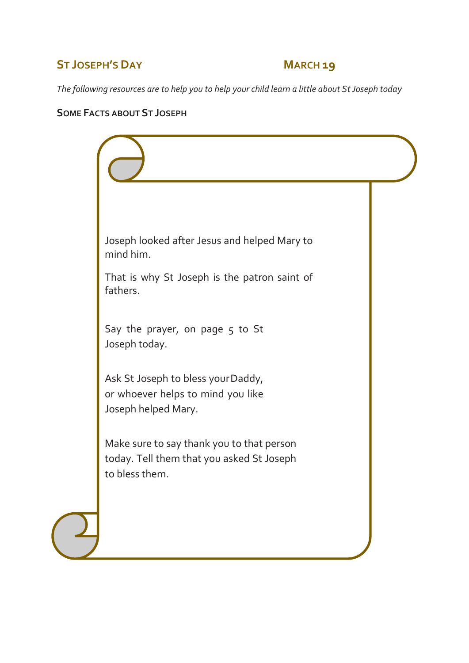### **ST JOSEPH'S DAY MARCH 19**

*The following resources are to help you to help your child learn a little about St Joseph today*

#### **SOME FACTS ABOUT ST JOSEPH**

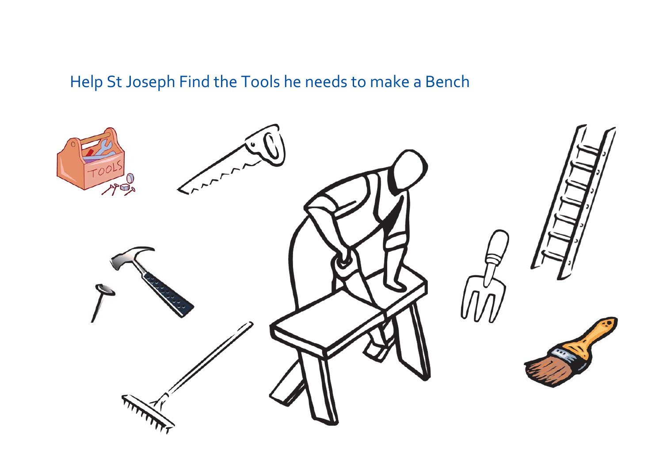# Help St Joseph Find the Tools he needs to make a Bench

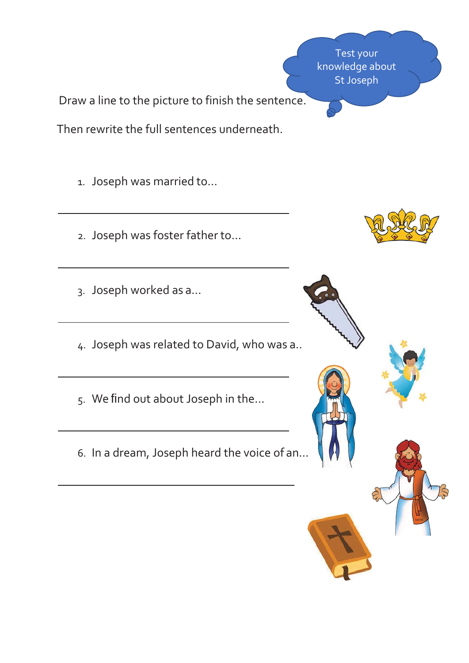Test your knowledge about St Joseph

Draw a line to the picture to finish the sentence.

Then rewrite the full sentences underneath.

1. Joseph was married to…

- 2. Joseph was foster father to…
- 3. Joseph worked as a…
- 4. Joseph was related to David, who was a…
- 5. We find out about Joseph in the…
- 6. In a dream, Joseph heard the voice of an…

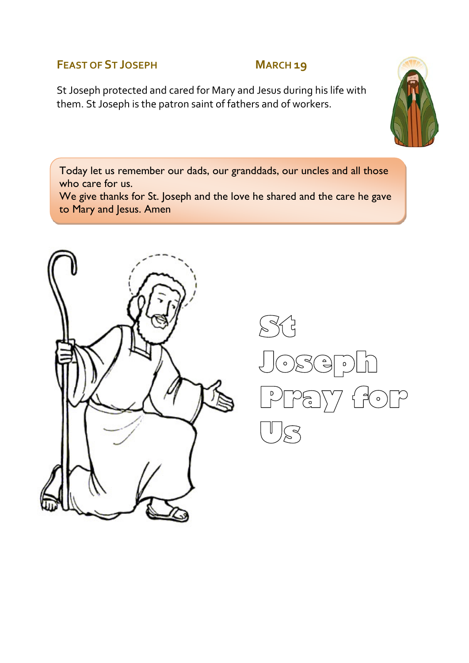#### **FEAST OF ST JOSEPH MARCH 19**

St Joseph protected and cared for Mary and Jesus during his life with them. St Joseph is the patron saint of fathers and of workers.



Today let us remember our dads, our granddads, our uncles and all those who care for us.

We give thanks for St. Joseph and the love he shared and the care he gave to Mary and Jesus. Amen